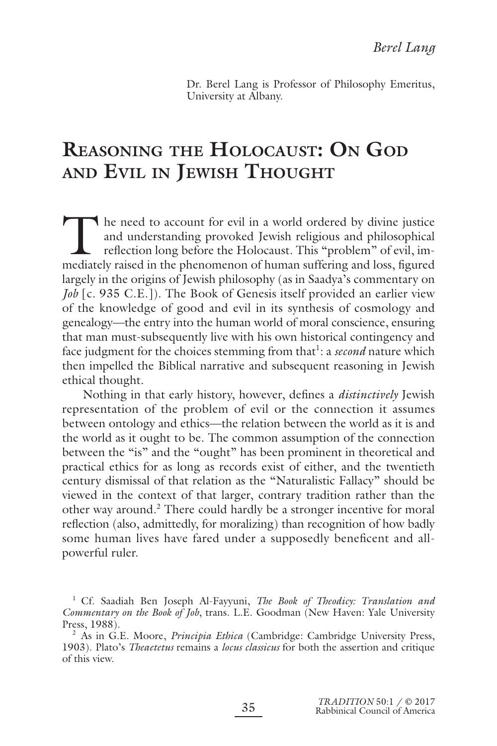Dr. Berel Lang is Professor of Philosophy Emeritus, University at Albany.

# **REASONING THE HOLOCAUST: ON GOD AND EVIL IN JEWISH THOUGHT**

The need to account for evil in a world ordered by divine justice<br>and understanding provoked Jewish religious and philosophical<br>reflection long before the Holocaust. This "problem" of evil, im-<br>mediately raised in the phen and understanding provoked Jewish religious and philosophical reflection long before the Holocaust. This "problem" of evil, immediately raised in the phenomenon of human suffering and loss, figured largely in the origins of Jewish philosophy (as in Saadya's commentary on *Job* [c. 935 C.E.]). The Book of Genesis itself provided an earlier view of the knowledge of good and evil in its synthesis of cosmology and genealogy—the entry into the human world of moral conscience, ensuring that man must-subsequently live with his own historical contingency and face judgment for the choices stemming from that<sup>1</sup>: a *second* nature which then impelled the Biblical narrative and subsequent reasoning in Jewish ethical thought.

Nothing in that early history, however, defines a *distinctively* Jewish representation of the problem of evil or the connection it assumes between ontology and ethics—the relation between the world as it is and the world as it ought to be. The common assumption of the connection between the "is" and the "ought" has been prominent in theoretical and practical ethics for as long as records exist of either, and the twentieth century dismissal of that relation as the "Naturalistic Fallacy" should be viewed in the context of that larger, contrary tradition rather than the other way around.<sup>2</sup> There could hardly be a stronger incentive for moral reflection (also, admittedly, for moralizing) than recognition of how badly some human lives have fared under a supposedly beneficent and allpowerful ruler.

<sup>&</sup>lt;sup>1</sup> Cf. Saadiah Ben Joseph Al-Fayyuni, *The Book of Theodicy: Translation and Commentary on the Book of Job*, trans. L.E. Goodman (New Haven: Yale University Press, 1988).

<sup>2</sup> As in G.E. Moore, *Principia Ethica* (Cambridge: Cambridge University Press, 1903). Plato's *Theaetetus* remains a *locus classicus* for both the assertion and critique of this view.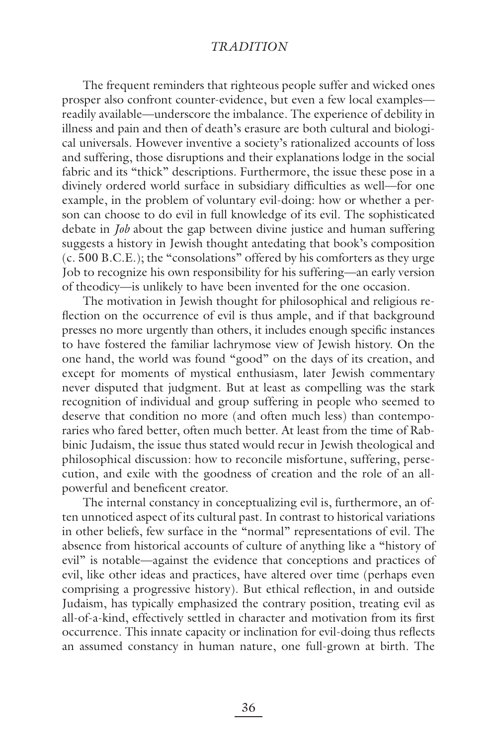The frequent reminders that righteous people suffer and wicked ones prosper also confront counter-evidence, but even a few local examples readily available—underscore the imbalance. The experience of debility in illness and pain and then of death's erasure are both cultural and biological universals. However inventive a society's rationalized accounts of loss and suffering, those disruptions and their explanations lodge in the social fabric and its "thick" descriptions. Furthermore, the issue these pose in a divinely ordered world surface in subsidiary difficulties as well—for one example, in the problem of voluntary evil-doing: how or whether a person can choose to do evil in full knowledge of its evil. The sophisticated debate in *Job* about the gap between divine justice and human suffering suggests a history in Jewish thought antedating that book's composition (c. 500 B.C.E.); the "consolations" offered by his comforters as they urge Job to recognize his own responsibility for his suffering—an early version of theodicy—is unlikely to have been invented for the one occasion.

The motivation in Jewish thought for philosophical and religious reflection on the occurrence of evil is thus ample, and if that background presses no more urgently than others, it includes enough specific instances to have fostered the familiar lachrymose view of Jewish history. On the one hand, the world was found "good" on the days of its creation, and except for moments of mystical enthusiasm, later Jewish commentary never disputed that judgment. But at least as compelling was the stark recognition of individual and group suffering in people who seemed to deserve that condition no more (and often much less) than contemporaries who fared better, often much better. At least from the time of Rabbinic Judaism, the issue thus stated would recur in Jewish theological and philosophical discussion: how to reconcile misfortune, suffering, persecution, and exile with the goodness of creation and the role of an allpowerful and beneficent creator.

The internal constancy in conceptualizing evil is, furthermore, an often unnoticed aspect of its cultural past. In contrast to historical variations in other beliefs, few surface in the "normal" representations of evil. The absence from historical accounts of culture of anything like a "history of evil" is notable—against the evidence that conceptions and practices of evil, like other ideas and practices, have altered over time (perhaps even comprising a progressive history). But ethical reflection, in and outside Judaism, has typically emphasized the contrary position, treating evil as all-of-a-kind, effectively settled in character and motivation from its first occurrence. This innate capacity or inclination for evil-doing thus reflects an assumed constancy in human nature, one full-grown at birth. The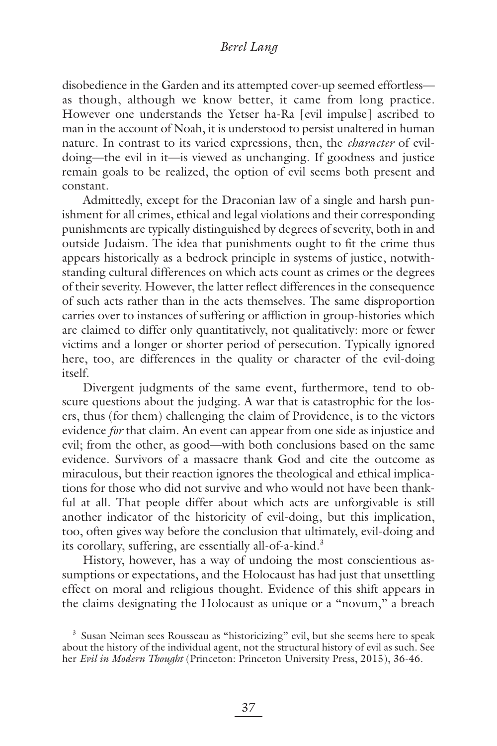disobedience in the Garden and its attempted cover-up seemed effortless as though, although we know better, it came from long practice. However one understands the Yetser ha-Ra [evil impulse] ascribed to man in the account of Noah, it is understood to persist unaltered in human nature. In contrast to its varied expressions, then, the *character* of evildoing—the evil in it—is viewed as unchanging. If goodness and justice remain goals to be realized, the option of evil seems both present and constant.

Admittedly, except for the Draconian law of a single and harsh punishment for all crimes, ethical and legal violations and their corresponding punishments are typically distinguished by degrees of severity, both in and outside Judaism. The idea that punishments ought to fit the crime thus appears historically as a bedrock principle in systems of justice, notwithstanding cultural differences on which acts count as crimes or the degrees of their severity. However, the latter reflect differences in the consequence of such acts rather than in the acts themselves. The same disproportion carries over to instances of suffering or affliction in group-histories which are claimed to differ only quantitatively, not qualitatively: more or fewer victims and a longer or shorter period of persecution. Typically ignored here, too, are differences in the quality or character of the evil-doing itself.

Divergent judgments of the same event, furthermore, tend to obscure questions about the judging. A war that is catastrophic for the losers, thus (for them) challenging the claim of Providence, is to the victors evidence *for* that claim. An event can appear from one side as injustice and evil; from the other, as good—with both conclusions based on the same evidence. Survivors of a massacre thank God and cite the outcome as miraculous, but their reaction ignores the theological and ethical implications for those who did not survive and who would not have been thankful at all. That people differ about which acts are unforgivable is still another indicator of the historicity of evil-doing, but this implication, too, often gives way before the conclusion that ultimately, evil-doing and its corollary, suffering, are essentially all-of-a-kind.<sup>3</sup>

History, however, has a way of undoing the most conscientious assumptions or expectations, and the Holocaust has had just that unsettling effect on moral and religious thought. Evidence of this shift appears in the claims designating the Holocaust as unique or a "novum," a breach

<sup>&</sup>lt;sup>3</sup> Susan Neiman sees Rousseau as "historicizing" evil, but she seems here to speak about the history of the individual agent, not the structural history of evil as such. See her *Evil in Modern Thought* (Princeton: Princeton University Press, 2015), 36-46.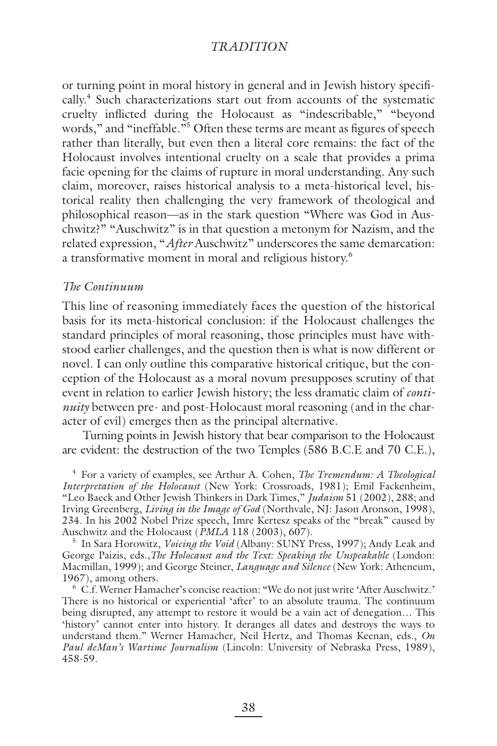or turning point in moral history in general and in Jewish history specifically.<sup>4</sup> Such characterizations start out from accounts of the systematic cruelty inflicted during the Holocaust as "indescribable," "beyond words," and "ineffable."<sup>5</sup> Often these terms are meant as figures of speech rather than literally, but even then a literal core remains: the fact of the Holocaust involves intentional cruelty on a scale that provides a prima facie opening for the claims of rupture in moral understanding. Any such claim, moreover, raises historical analysis to a meta-historical level, historical reality then challenging the very framework of theological and philosophical reason—as in the stark question "Where was God in Auschwitz?" "Auschwitz" is in that question a metonym for Nazism, and the related expression, "*After* Auschwitz" underscores the same demarcation: a transformative moment in moral and religious history.<sup>6</sup>

#### *The Continuum*

This line of reasoning immediately faces the question of the historical basis for its meta-historical conclusion: if the Holocaust challenges the standard principles of moral reasoning, those principles must have withstood earlier challenges, and the question then is what is now different or novel. I can only outline this comparative historical critique, but the conception of the Holocaust as a moral novum presupposes scrutiny of that event in relation to earlier Jewish history; the less dramatic claim of *continuity* between pre- and post-Holocaust moral reasoning (and in the character of evil) emerges then as the principal alternative.

Turning points in Jewish history that bear comparison to the Holocaust are evident: the destruction of the two Temples (586 B.C.E and 70 C.E.),

4 For a variety of examples, see Arthur A. Cohen, *The Tremendum: A Theological Interpretation of the Holocaust* (New York: Crossroads, 1981); Emil Fackenheim, "Leo Baeck and Other Jewish Thinkers in Dark Times," *Judaism* 51 (2002), 288; and Irving Greenberg, *Living in the Image of God* (Northvale, NJ: Jason Aronson, 1998), 234. In his 2002 Nobel Prize speech, Imre Kertesz speaks of the "break" caused by Auschwitz and the Holocaust (*PMLA* 118 (2003), 607).

5 In Sara Horowitz, *Voicing the Void* (Albany: SUNY Press, 1997); Andy Leak and George Paizis, eds.,*The Holocaust and the Text: Speaking the Unspeakable* (London: Macmillan, 1999); and George Steiner, *Language and Silence* (New York: Atheneum, 1967), among others.

6 C.f. Werner Hamacher's concise reaction: "We do not just write 'After Auschwitz.' There is no historical or experiential 'after' to an absolute trauma. The continuum being disrupted, any attempt to restore it would be a vain act of denegation… This 'history' cannot enter into history. It deranges all dates and destroys the ways to understand them." Werner Hamacher, Neil Hertz, and Thomas Keenan, eds., *On Paul deMan's Wartime Journalism* (Lincoln: University of Nebraska Press, 1989), 458-59.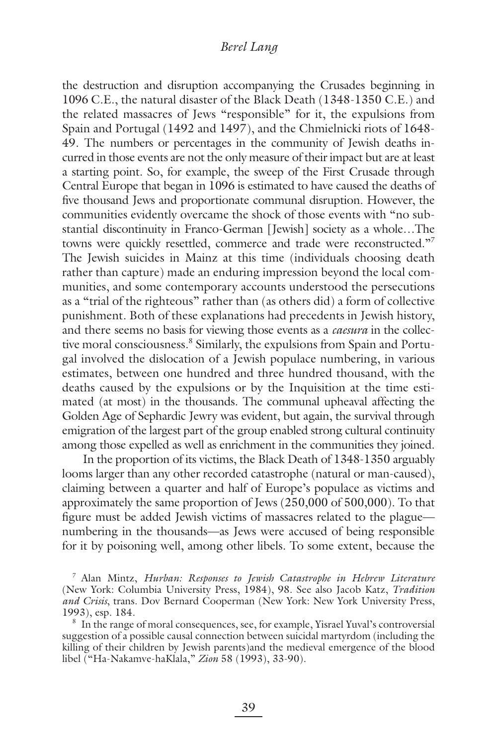the destruction and disruption accompanying the Crusades beginning in 1096 C.E., the natural disaster of the Black Death (1348-1350 C.E.) and the related massacres of Jews "responsible" for it, the expulsions from Spain and Portugal (1492 and 1497), and the Chmielnicki riots of 1648- 49. The numbers or percentages in the community of Jewish deaths incurred in those events are not the only measure of their impact but are at least a starting point. So, for example, the sweep of the First Crusade through Central Europe that began in 1096 is estimated to have caused the deaths of five thousand Jews and proportionate communal disruption. However, the communities evidently overcame the shock of those events with "no substantial discontinuity in Franco-German [Jewish] society as a whole…The towns were quickly resettled, commerce and trade were reconstructed."<sup>7</sup> The Jewish suicides in Mainz at this time (individuals choosing death rather than capture) made an enduring impression beyond the local communities, and some contemporary accounts understood the persecutions as a "trial of the righteous" rather than (as others did) a form of collective punishment. Both of these explanations had precedents in Jewish history, and there seems no basis for viewing those events as a *caesura* in the collective moral consciousness.<sup>8</sup> Similarly, the expulsions from Spain and Portugal involved the dislocation of a Jewish populace numbering, in various estimates, between one hundred and three hundred thousand, with the deaths caused by the expulsions or by the Inquisition at the time estimated (at most) in the thousands. The communal upheaval affecting the Golden Age of Sephardic Jewry was evident, but again, the survival through emigration of the largest part of the group enabled strong cultural continuity among those expelled as well as enrichment in the communities they joined.

In the proportion of its victims, the Black Death of 1348-1350 arguably looms larger than any other recorded catastrophe (natural or man-caused), claiming between a quarter and half of Europe's populace as victims and approximately the same proportion of Jews (250,000 of 500,000). To that figure must be added Jewish victims of massacres related to the plague numbering in the thousands—as Jews were accused of being responsible for it by poisoning well, among other libels. To some extent, because the

<sup>7</sup> Alan Mintz, *Hurban: Responses to Jewish Catastrophe in Hebrew Literature* (New York: Columbia University Press, 1984), 98. See also Jacob Katz, *Tradition and Crisis*, trans. Dov Bernard Cooperman (New York: New York University Press, 1993), esp. 184.

<sup>8</sup> In the range of moral consequences, see, for example, Yisrael Yuval's controversial suggestion of a possible causal connection between suicidal martyrdom (including the killing of their children by Jewish parents)and the medieval emergence of the blood libel ("Ha-Nakamve-haKlala," *Zion* 58 (1993), 33-90).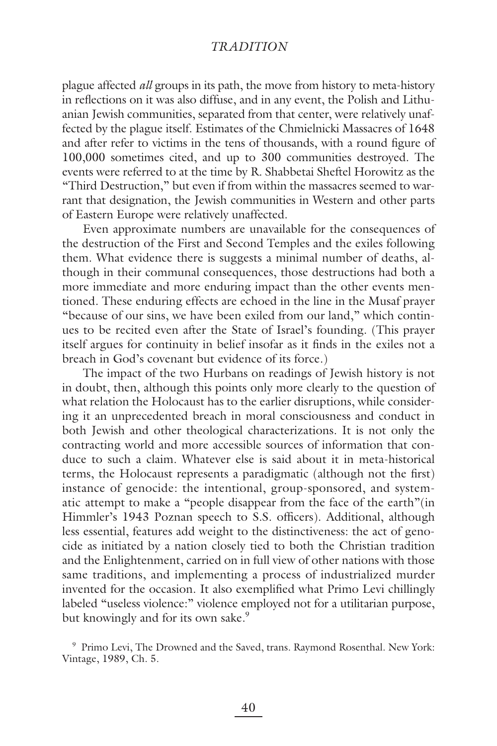plague affected *all* groups in its path, the move from history to meta-history in refl ections on it was also diffuse, and in any event, the Polish and Lithuanian Jewish communities, separated from that center, were relatively unaffected by the plague itself. Estimates of the Chmielnicki Massacres of 1648 and after refer to victims in the tens of thousands, with a round figure of 100,000 sometimes cited, and up to 300 communities destroyed. The events were referred to at the time by R. Shabbetai Sheftel Horowitz as the "Third Destruction," but even if from within the massacres seemed to warrant that designation, the Jewish communities in Western and other parts of Eastern Europe were relatively unaffected.

Even approximate numbers are unavailable for the consequences of the destruction of the First and Second Temples and the exiles following them. What evidence there is suggests a minimal number of deaths, although in their communal consequences, those destructions had both a more immediate and more enduring impact than the other events mentioned. These enduring effects are echoed in the line in the Musaf prayer "because of our sins, we have been exiled from our land," which continues to be recited even after the State of Israel's founding. (This prayer itself argues for continuity in belief insofar as it finds in the exiles not a breach in God's covenant but evidence of its force.)

The impact of the two Hurbans on readings of Jewish history is not in doubt, then, although this points only more clearly to the question of what relation the Holocaust has to the earlier disruptions, while considering it an unprecedented breach in moral consciousness and conduct in both Jewish and other theological characterizations. It is not only the contracting world and more accessible sources of information that conduce to such a claim. Whatever else is said about it in meta-historical terms, the Holocaust represents a paradigmatic (although not the first) instance of genocide: the intentional, group-sponsored, and systematic attempt to make a "people disappear from the face of the earth"(in Himmler's 1943 Poznan speech to S.S. officers). Additional, although less essential, features add weight to the distinctiveness: the act of genocide as initiated by a nation closely tied to both the Christian tradition and the Enlightenment, carried on in full view of other nations with those same traditions, and implementing a process of industrialized murder invented for the occasion. It also exemplified what Primo Levi chillingly labeled "useless violence:" violence employed not for a utilitarian purpose, but knowingly and for its own sake.<sup>9</sup>

<sup>9</sup> Primo Levi, The Drowned and the Saved, trans. Raymond Rosenthal. New York: Vintage, 1989, Ch. 5.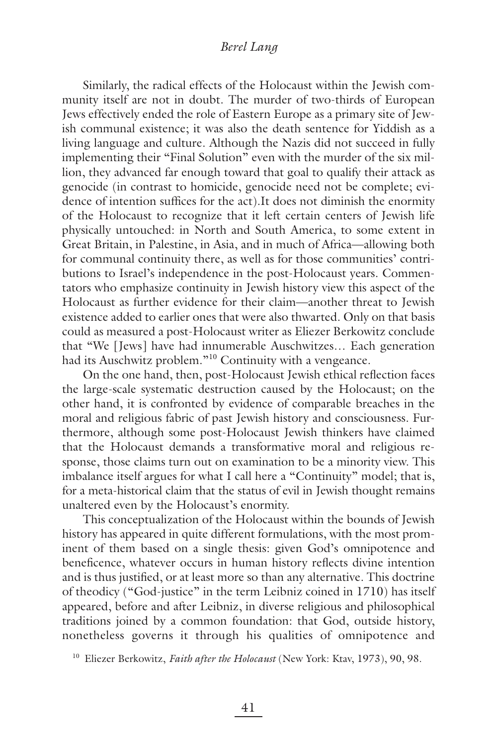Similarly, the radical effects of the Holocaust within the Jewish community itself are not in doubt. The murder of two-thirds of European Jews effectively ended the role of Eastern Europe as a primary site of Jewish communal existence; it was also the death sentence for Yiddish as a living language and culture. Although the Nazis did not succeed in fully implementing their "Final Solution" even with the murder of the six million, they advanced far enough toward that goal to qualify their attack as genocide (in contrast to homicide, genocide need not be complete; evidence of intention suffices for the act).It does not diminish the enormity of the Holocaust to recognize that it left certain centers of Jewish life physically untouched: in North and South America, to some extent in Great Britain, in Palestine, in Asia, and in much of Africa—allowing both for communal continuity there, as well as for those communities' contributions to Israel's independence in the post-Holocaust years. Commentators who emphasize continuity in Jewish history view this aspect of the Holocaust as further evidence for their claim—another threat to Jewish existence added to earlier ones that were also thwarted. Only on that basis could as measured a post-Holocaust writer as Eliezer Berkowitz conclude that "We [Jews] have had innumerable Auschwitzes… Each generation had its Auschwitz problem."<sup>10</sup> Continuity with a vengeance.

On the one hand, then, post-Holocaust Jewish ethical reflection faces the large-scale systematic destruction caused by the Holocaust; on the other hand, it is confronted by evidence of comparable breaches in the moral and religious fabric of past Jewish history and consciousness. Furthermore, although some post-Holocaust Jewish thinkers have claimed that the Holocaust demands a transformative moral and religious response, those claims turn out on examination to be a minority view. This imbalance itself argues for what I call here a "Continuity" model; that is, for a meta-historical claim that the status of evil in Jewish thought remains unaltered even by the Holocaust's enormity.

This conceptualization of the Holocaust within the bounds of Jewish history has appeared in quite different formulations, with the most prominent of them based on a single thesis: given God's omnipotence and beneficence, whatever occurs in human history reflects divine intention and is thus justified, or at least more so than any alternative. This doctrine of theodicy ("God-justice" in the term Leibniz coined in 1710) has itself appeared, before and after Leibniz, in diverse religious and philosophical traditions joined by a common foundation: that God, outside history, nonetheless governs it through his qualities of omnipotence and

10 Eliezer Berkowitz, *Faith after the Holocaust* (New York: Ktav, 1973), 90, 98.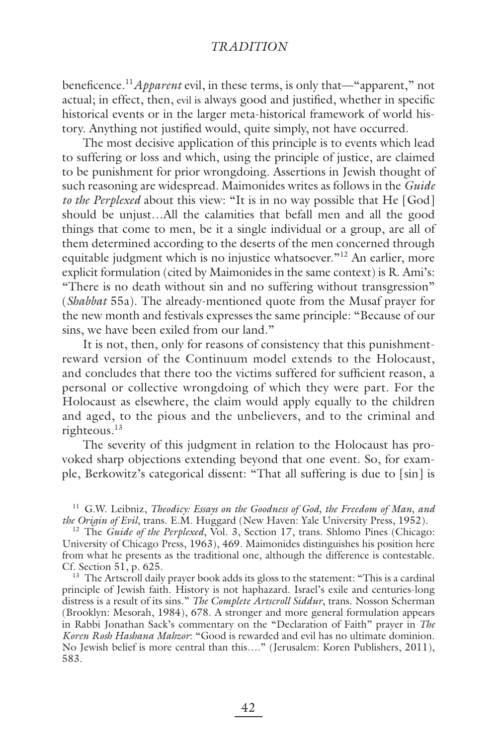beneficence.<sup>11</sup>*Apparent* evil, in these terms, is only that—"apparent," not actual; in effect, then, evil is always good and justified, whether in specific historical events or in the larger meta-historical framework of world history. Anything not justified would, quite simply, not have occurred.

The most decisive application of this principle is to events which lead to suffering or loss and which, using the principle of justice, are claimed to be punishment for prior wrongdoing. Assertions in Jewish thought of such reasoning are widespread. Maimonides writes as follows in the *Guide to the Perplexed* about this view: "It is in no way possible that He [God] should be unjust…All the calamities that befall men and all the good things that come to men, be it a single individual or a group, are all of them determined according to the deserts of the men concerned through equitable judgment which is no injustice whatsoever."<sup>12</sup> An earlier, more explicit formulation (cited by Maimonides in the same context) is R. Ami's: "There is no death without sin and no suffering without transgression" (*Shabbat* 55a). The already-mentioned quote from the Musaf prayer for the new month and festivals expresses the same principle: "Because of our sins, we have been exiled from our land."

It is not, then, only for reasons of consistency that this punishmentreward version of the Continuum model extends to the Holocaust, and concludes that there too the victims suffered for sufficient reason, a personal or collective wrongdoing of which they were part. For the Holocaust as elsewhere, the claim would apply equally to the children and aged, to the pious and the unbelievers, and to the criminal and righteous.<sup>13</sup>

The severity of this judgment in relation to the Holocaust has provoked sharp objections extending beyond that one event. So, for example, Berkowitz's categorical dissent: "That all suffering is due to [sin] is

<sup>11</sup> G.W. Leibniz, *Theodicy: Essays on the Goodness of God, the Freedom of Man, and the Origin of Evil*, trans. E.M. Huggard (New Haven: Yale University Press, 1952).

<sup>12</sup> The *Guide of the Perplexed*, Vol. 3, Section 17, trans. Shlomo Pines (Chicago: University of Chicago Press, 1963), 469. Maimonides distinguishes his position here from what he presents as the traditional one, although the difference is contestable. Cf. Section 51, p. 625.

<sup>13</sup> The Artscroll daily prayer book adds its gloss to the statement: "This is a cardinal principle of Jewish faith. History is not haphazard. Israel's exile and centuries-long distress is a result of its sins." *The Complete Artscroll Siddur*, trans. Nosson Scherman (Brooklyn: Mesorah, 1984), 678. A stronger and more general formulation appears in Rabbi Jonathan Sack's commentary on the "Declaration of Faith" prayer in *The Koren Rosh Hashana Mahzor*: "Good is rewarded and evil has no ultimate dominion. No Jewish belief is more central than this…." (Jerusalem: Koren Publishers, 2011), 583.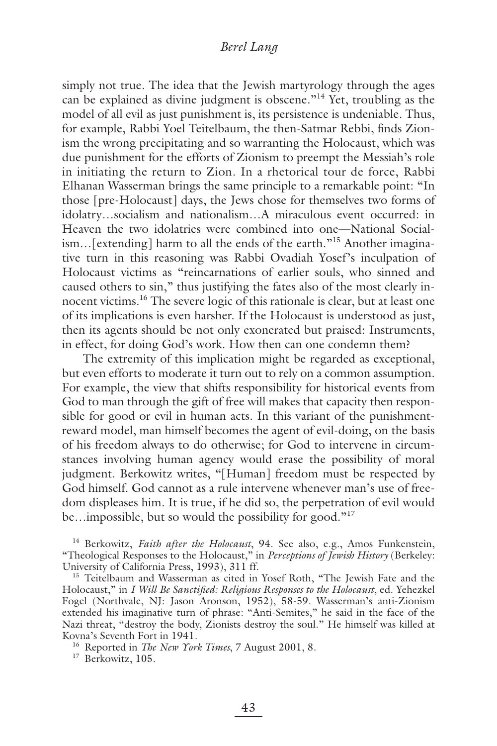simply not true. The idea that the Jewish martyrology through the ages can be explained as divine judgment is obscene."14 Yet, troubling as the model of all evil as just punishment is, its persistence is undeniable. Thus, for example, Rabbi Yoel Teitelbaum, the then-Satmar Rebbi, finds Zionism the wrong precipitating and so warranting the Holocaust, which was due punishment for the efforts of Zionism to preempt the Messiah's role in initiating the return to Zion. In a rhetorical tour de force, Rabbi Elhanan Wasserman brings the same principle to a remarkable point: "In those [pre-Holocaust] days, the Jews chose for themselves two forms of idolatry…socialism and nationalism…A miraculous event occurred: in Heaven the two idolatries were combined into one—National Socialism…[extending] harm to all the ends of the earth."15 Another imaginative turn in this reasoning was Rabbi Ovadiah Yosef's inculpation of Holocaust victims as "reincarnations of earlier souls, who sinned and caused others to sin," thus justifying the fates also of the most clearly innocent victims.16 The severe logic of this rationale is clear, but at least one of its implications is even harsher. If the Holocaust is understood as just, then its agents should be not only exonerated but praised: Instruments, in effect, for doing God's work. How then can one condemn them?

The extremity of this implication might be regarded as exceptional, but even efforts to moderate it turn out to rely on a common assumption. For example, the view that shifts responsibility for historical events from God to man through the gift of free will makes that capacity then responsible for good or evil in human acts. In this variant of the punishmentreward model, man himself becomes the agent of evil-doing, on the basis of his freedom always to do otherwise; for God to intervene in circumstances involving human agency would erase the possibility of moral judgment. Berkowitz writes, "[Human] freedom must be respected by God himself. God cannot as a rule intervene whenever man's use of freedom displeases him. It is true, if he did so, the perpetration of evil would be...impossible, but so would the possibility for good."<sup>17</sup>

14 Berkowitz, *Faith after the Holocaust*, 94. See also, e.g., Amos Funkenstein, "Theological Responses to the Holocaust," in *Perceptions of Jewish History* (Berkeley: University of California Press, 1993), 311 ff.

<sup>15</sup> Teitelbaum and Wasserman as cited in Yosef Roth, "The Jewish Fate and the Holocaust," in *I Will Be Sanctified: Religious Responses to the Holocaust*, ed. Yehezkel Fogel (Northvale, NJ: Jason Aronson, 1952), 58-59. Wasserman's anti-Zionism extended his imaginative turn of phrase: "Anti-Semites," he said in the face of the Nazi threat, "destroy the body, Zionists destroy the soul." He himself was killed at Kovna's Seventh Fort in 1941.

16 Reported in *The New York Times*, 7 August 2001, 8.

<sup>17</sup> Berkowitz, 105.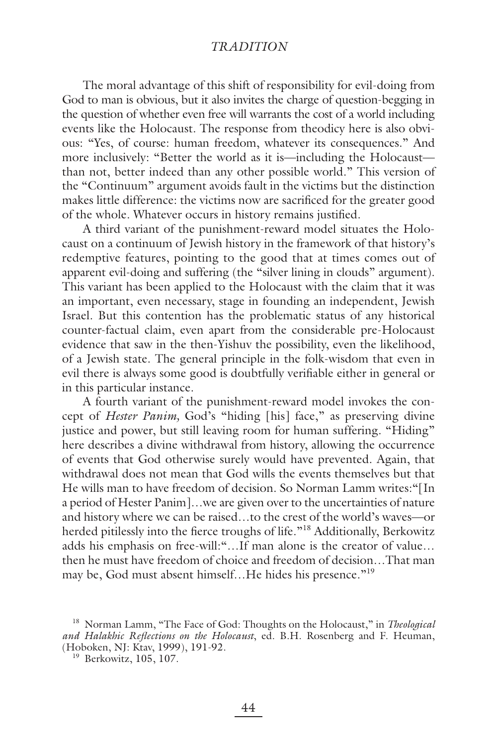The moral advantage of this shift of responsibility for evil-doing from God to man is obvious, but it also invites the charge of question-begging in the question of whether even free will warrants the cost of a world including events like the Holocaust. The response from theodicy here is also obvious: "Yes, of course: human freedom, whatever its consequences." And more inclusively: "Better the world as it is—including the Holocaust than not, better indeed than any other possible world." This version of the "Continuum" argument avoids fault in the victims but the distinction makes little difference: the victims now are sacrificed for the greater good of the whole. Whatever occurs in history remains justified.

A third variant of the punishment-reward model situates the Holocaust on a continuum of Jewish history in the framework of that history's redemptive features, pointing to the good that at times comes out of apparent evil-doing and suffering (the "silver lining in clouds" argument). This variant has been applied to the Holocaust with the claim that it was an important, even necessary, stage in founding an independent, Jewish Israel. But this contention has the problematic status of any historical counter-factual claim, even apart from the considerable pre-Holocaust evidence that saw in the then-Yishuv the possibility, even the likelihood, of a Jewish state. The general principle in the folk-wisdom that even in evil there is always some good is doubtfully verifiable either in general or in this particular instance.

A fourth variant of the punishment-reward model invokes the concept of *Hester Panim,* God's "hiding [his] face," as preserving divine justice and power, but still leaving room for human suffering. "Hiding" here describes a divine withdrawal from history, allowing the occurrence of events that God otherwise surely would have prevented. Again, that withdrawal does not mean that God wills the events themselves but that He wills man to have freedom of decision. So Norman Lamm writes:"[In a period of Hester Panim]…we are given over to the uncertainties of nature and history where we can be raised…to the crest of the world's waves—or herded pitilessly into the fierce troughs of life."<sup>18</sup> Additionally, Berkowitz adds his emphasis on free-will:"…If man alone is the creator of value… then he must have freedom of choice and freedom of decision…That man may be, God must absent himself...He hides his presence."<sup>19</sup>

<sup>18</sup> Norman Lamm, "The Face of God: Thoughts on the Holocaust," in *Theological*  and Halakhic Reflections on the Holocaust, ed. B.H. Rosenberg and F. Heuman, (Hoboken, NJ: Ktav, 1999), 191-92.

<sup>&</sup>lt;sup>19</sup> Berkowitz, 105, 107.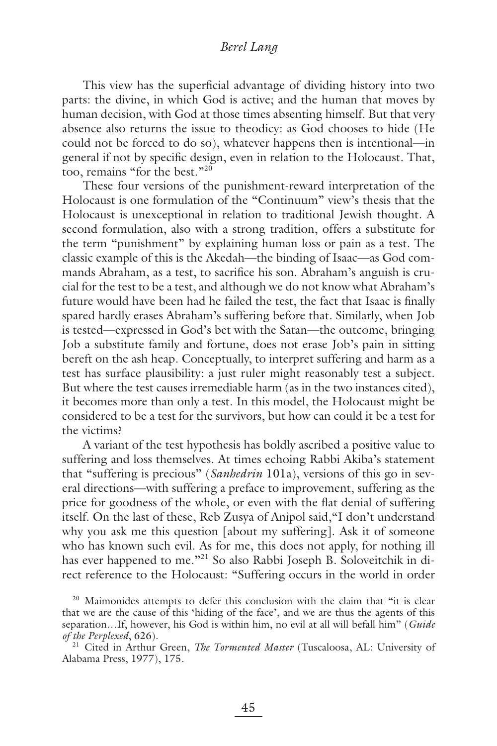This view has the superficial advantage of dividing history into two parts: the divine, in which God is active; and the human that moves by human decision, with God at those times absenting himself. But that very absence also returns the issue to theodicy: as God chooses to hide (He could not be forced to do so), whatever happens then is intentional—in general if not by specific design, even in relation to the Holocaust. That, too, remains "for the best."<sup>20</sup>

These four versions of the punishment-reward interpretation of the Holocaust is one formulation of the "Continuum" view's thesis that the Holocaust is unexceptional in relation to traditional Jewish thought. A second formulation, also with a strong tradition, offers a substitute for the term "punishment" by explaining human loss or pain as a test. The classic example of this is the Akedah—the binding of Isaac—as God commands Abraham, as a test, to sacrifice his son. Abraham's anguish is crucial for the test to be a test, and although we do not know what Abraham's future would have been had he failed the test, the fact that Isaac is finally spared hardly erases Abraham's suffering before that. Similarly, when Job is tested—expressed in God's bet with the Satan—the outcome, bringing Job a substitute family and fortune, does not erase Job's pain in sitting bereft on the ash heap. Conceptually, to interpret suffering and harm as a test has surface plausibility: a just ruler might reasonably test a subject. But where the test causes irremediable harm (as in the two instances cited), it becomes more than only a test. In this model, the Holocaust might be considered to be a test for the survivors, but how can could it be a test for the victims?

A variant of the test hypothesis has boldly ascribed a positive value to suffering and loss themselves. At times echoing Rabbi Akiba's statement that "suffering is precious" (*Sanhedrin* 101a), versions of this go in several directions—with suffering a preface to improvement, suffering as the price for goodness of the whole, or even with the flat denial of suffering itself. On the last of these, Reb Zusya of Anipol said,"I don't understand why you ask me this question [about my suffering]. Ask it of someone who has known such evil. As for me, this does not apply, for nothing ill has ever happened to me."<sup>21</sup> So also Rabbi Joseph B. Soloveitchik in direct reference to the Holocaust: "Suffering occurs in the world in order

<sup>&</sup>lt;sup>20</sup> Maimonides attempts to defer this conclusion with the claim that "it is clear that we are the cause of this 'hiding of the face', and we are thus the agents of this separation…If, however, his God is within him, no evil at all will befall him" (*Guide of the Perplexed*, 626).

<sup>&</sup>lt;sup>21</sup> Cited in Arthur Green, *The Tormented Master* (Tuscaloosa, AL: University of Alabama Press, 1977), 175.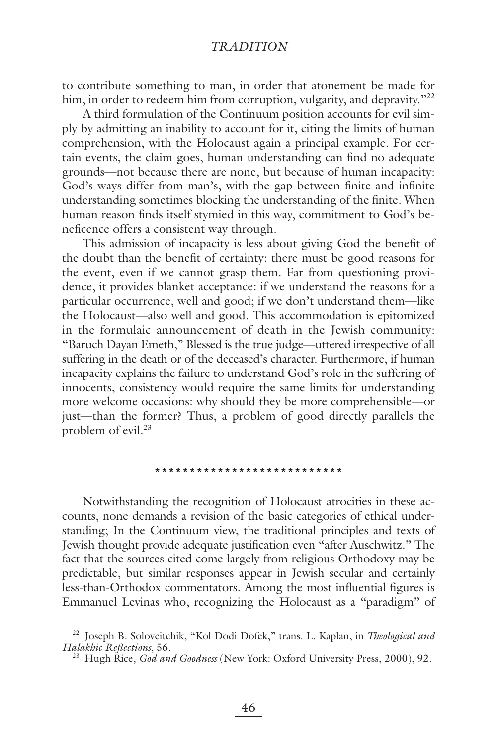to contribute something to man, in order that atonement be made for him, in order to redeem him from corruption, vulgarity, and depravity.<sup>"22</sup>

A third formulation of the Continuum position accounts for evil simply by admitting an inability to account for it, citing the limits of human comprehension, with the Holocaust again a principal example. For certain events, the claim goes, human understanding can find no adequate grounds—not because there are none, but because of human incapacity: God's ways differ from man's, with the gap between finite and infinite understanding sometimes blocking the understanding of the finite. When human reason finds itself stymied in this way, commitment to God's beneficence offers a consistent way through.

This admission of incapacity is less about giving God the benefit of the doubt than the benefit of certainty: there must be good reasons for the event, even if we cannot grasp them. Far from questioning providence, it provides blanket acceptance: if we understand the reasons for a particular occurrence, well and good; if we don't understand them—like the Holocaust—also well and good. This accommodation is epitomized in the formulaic announcement of death in the Jewish community: "Baruch Dayan Emeth," Blessed is the true judge—uttered irrespective of all suffering in the death or of the deceased's character. Furthermore, if human incapacity explains the failure to understand God's role in the suffering of innocents, consistency would require the same limits for understanding more welcome occasions: why should they be more comprehensible—or just—than the former? Thus, a problem of good directly parallels the problem of evil.<sup>23</sup>

#### **\*\*\*\*\*\*\*\*\*\*\*\*\*\*\*\*\*\*\*\*\*\*\*\*\*\*\***

Notwithstanding the recognition of Holocaust atrocities in these accounts, none demands a revision of the basic categories of ethical understanding; In the Continuum view, the traditional principles and texts of Jewish thought provide adequate justification even "after Auschwitz." The fact that the sources cited come largely from religious Orthodoxy may be predictable, but similar responses appear in Jewish secular and certainly less-than-Orthodox commentators. Among the most influential figures is Emmanuel Levinas who, recognizing the Holocaust as a "paradigm" of

<sup>22</sup> Joseph B. Soloveitchik, "Kol Dodi Dofek," trans. L. Kaplan, in *Theological and Halakhic Reflections*, 56.

<sup>23</sup> Hugh Rice, *God and Goodness* (New York: Oxford University Press, 2000), 92.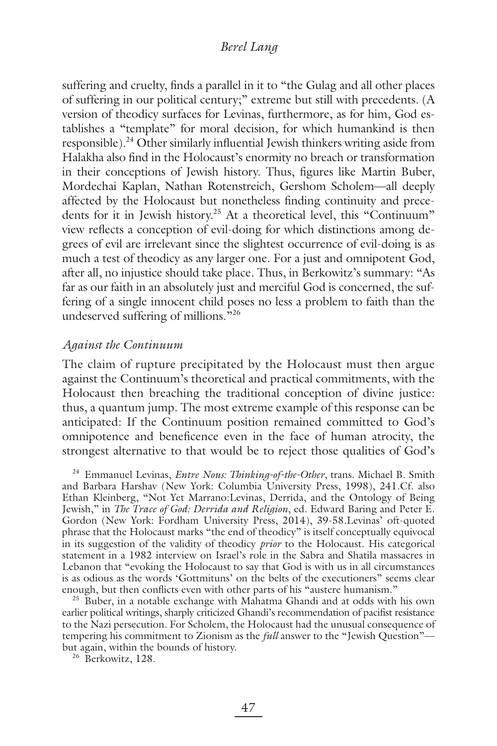suffering and cruelty, finds a parallel in it to "the Gulag and all other places of suffering in our political century;" extreme but still with precedents. (A version of theodicy surfaces for Levinas, furthermore, as for him, God establishes a "template" for moral decision, for which humankind is then responsible).<sup>24</sup> Other similarly influential Jewish thinkers writing aside from Halakha also find in the Holocaust's enormity no breach or transformation in their conceptions of Jewish history. Thus, figures like Martin Buber, Mordechai Kaplan, Nathan Rotenstreich, Gershom Scholem—all deeply affected by the Holocaust but nonetheless finding continuity and precedents for it in Jewish history.<sup>25</sup> At a theoretical level, this "Continuum" view reflects a conception of evil-doing for which distinctions among degrees of evil are irrelevant since the slightest occurrence of evil-doing is as much a test of theodicy as any larger one. For a just and omnipotent God, after all, no injustice should take place. Thus, in Berkowitz's summary: "As far as our faith in an absolutely just and merciful God is concerned, the suffering of a single innocent child poses no less a problem to faith than the undeserved suffering of millions."<sup>26</sup>

#### *Against the Continuum*

The claim of rupture precipitated by the Holocaust must then argue against the Continuum's theoretical and practical commitments, with the Holocaust then breaching the traditional conception of divine justice: thus, a quantum jump. The most extreme example of this response can be anticipated: If the Continuum position remained committed to God's omnipotence and beneficence even in the face of human atrocity, the strongest alternative to that would be to reject those qualities of God's

24 Emmanuel Levinas, *Entre Nous: Thinking-of-the-Other*, trans. Michael B. Smith and Barbara Harshav (New York: Columbia University Press, 1998), 241.Cf. also Ethan Kleinberg, "Not Yet Marrano:Levinas, Derrida, and the Ontology of Being Jewish," in *The Trace of God: Derrida and Religion*, ed. Edward Baring and Peter E. Gordon (New York: Fordham University Press, 2014), 39-58.Levinas' oft-quoted phrase that the Holocaust marks "the end of theodicy" is itself conceptually equivocal in its suggestion of the validity of theodicy *prior* to the Holocaust. His categorical statement in a 1982 interview on Israel's role in the Sabra and Shatila massacres in Lebanon that "evoking the Holocaust to say that God is with us in all circumstances is as odious as the words 'Gottmituns' on the belts of the executioners" seems clear enough, but then conflicts even with other parts of his "austere humanism."

<sup>25</sup> Buber, in a notable exchange with Mahatma Ghandi and at odds with his own earlier political writings, sharply criticized Ghandi's recommendation of pacifist resistance to the Nazi persecution. For Scholem, the Holocaust had the unusual consequence of tempering his commitment to Zionism as the *full* answer to the "Jewish Question" but again, within the bounds of history. 26 Berkowitz, 128.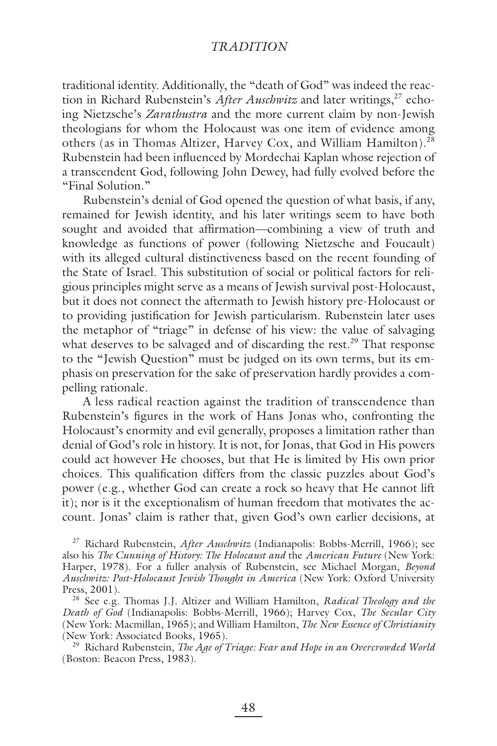traditional identity. Additionally, the "death of God" was indeed the reaction in Richard Rubenstein's *After Auschwitz* and later writings,<sup>27</sup> echoing Nietzsche's *Zarathustra* and the more current claim by non-Jewish theologians for whom the Holocaust was one item of evidence among others (as in Thomas Altizer, Harvey Cox, and William Hamilton).<sup>28</sup> Rubenstein had been influenced by Mordechai Kaplan whose rejection of a transcendent God, following John Dewey, had fully evolved before the "Final Solution."

Rubenstein's denial of God opened the question of what basis, if any, remained for Jewish identity, and his later writings seem to have both sought and avoided that affirmation—combining a view of truth and knowledge as functions of power (following Nietzsche and Foucault) with its alleged cultural distinctiveness based on the recent founding of the State of Israel. This substitution of social or political factors for religious principles might serve as a means of Jewish survival post-Holocaust, but it does not connect the aftermath to Jewish history pre-Holocaust or to providing justification for Jewish particularism. Rubenstein later uses the metaphor of "triage" in defense of his view: the value of salvaging what deserves to be salvaged and of discarding the rest.<sup>29</sup> That response to the "Jewish Question" must be judged on its own terms, but its emphasis on preservation for the sake of preservation hardly provides a compelling rationale.

A less radical reaction against the tradition of transcendence than Rubenstein's figures in the work of Hans Jonas who, confronting the Holocaust's enormity and evil generally, proposes a limitation rather than denial of God's role in history. It is not, for Jonas, that God in His powers could act however He chooses, but that He is limited by His own prior choices. This qualification differs from the classic puzzles about God's power (e.g., whether God can create a rock so heavy that He cannot lift it); nor is it the exceptionalism of human freedom that motivates the account. Jonas' claim is rather that, given God's own earlier decisions, at

<sup>27</sup> Richard Rubenstein, *After Auschwitz* (Indianapolis: Bobbs-Merrill, 1966); see also his *The Cunning of History: The Holocaust and* the *American Future* (New York: Harper, 1978). For a fuller analysis of Rubenstein, see Michael Morgan, *Beyond Auschwitz: Post-Holocaust Jewish Thought in America* (New York: Oxford University Press, 2001).

<sup>28</sup> See e.g. Thomas J.J. Altizer and William Hamilton, *Radical Theology and the Death of God* (Indianapolis: Bobbs-Merrill, 1966); Harvey Cox, *The Secular City* (New York: Macmillan, 1965); and William Hamilton, *The New Essence of Christianity* (New York: Associated Books, 1965).

<sup>29</sup> Richard Rubenstein, *The Age of Triage: Fear and Hope in an Overcrowded World* (Boston: Beacon Press, 1983).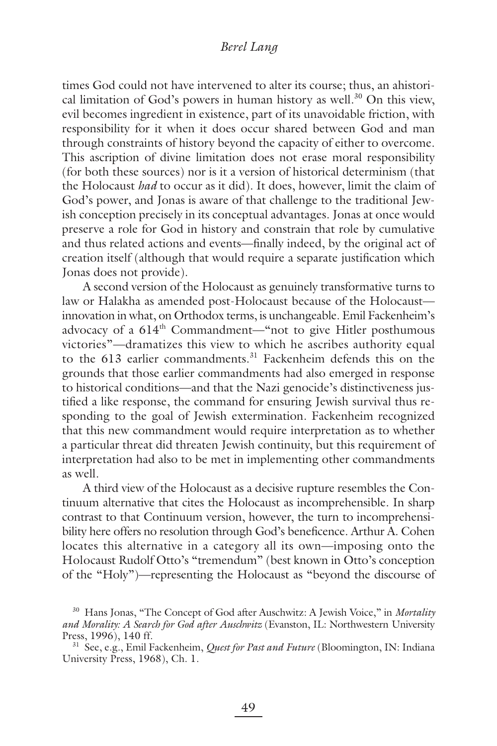times God could not have intervened to alter its course; thus, an ahistorical limitation of God's powers in human history as well.<sup>30</sup> On this view, evil becomes ingredient in existence, part of its unavoidable friction, with responsibility for it when it does occur shared between God and man through constraints of history beyond the capacity of either to overcome. This ascription of divine limitation does not erase moral responsibility (for both these sources) nor is it a version of historical determinism (that the Holocaust *had* to occur as it did). It does, however, limit the claim of God's power, and Jonas is aware of that challenge to the traditional Jewish conception precisely in its conceptual advantages. Jonas at once would preserve a role for God in history and constrain that role by cumulative and thus related actions and events—finally indeed, by the original act of creation itself (although that would require a separate justification which Jonas does not provide).

A second version of the Holocaust as genuinely transformative turns to law or Halakha as amended post-Holocaust because of the Holocaust innovation in what, on Orthodox terms, is unchangeable. Emil Fackenheim's advocacy of a 614<sup>th</sup> Commandment—"not to give Hitler posthumous victories"—dramatizes this view to which he ascribes authority equal to the 613 earlier commandments.<sup>31</sup> Fackenheim defends this on the grounds that those earlier commandments had also emerged in response to historical conditions—and that the Nazi genocide's distinctiveness justified a like response, the command for ensuring Jewish survival thus responding to the goal of Jewish extermination. Fackenheim recognized that this new commandment would require interpretation as to whether a particular threat did threaten Jewish continuity, but this requirement of interpretation had also to be met in implementing other commandments as well.

A third view of the Holocaust as a decisive rupture resembles the Continuum alternative that cites the Holocaust as incomprehensible. In sharp contrast to that Continuum version, however, the turn to incomprehensibility here offers no resolution through God's beneficence. Arthur A. Cohen locates this alternative in a category all its own—imposing onto the Holocaust Rudolf Otto's "tremendum" (best known in Otto's conception of the "Holy")—representing the Holocaust as "beyond the discourse of

<sup>30</sup> Hans Jonas, "The Concept of God after Auschwitz: A Jewish Voice," in *Mortality and Morality: A Search for God after Auschwitz* (Evanston, IL: Northwestern University Press, 1996), 140 ff.

<sup>31</sup> See, e.g., Emil Fackenheim, *Quest for Past and Future* (Bloomington, IN: Indiana University Press, 1968), Ch. 1.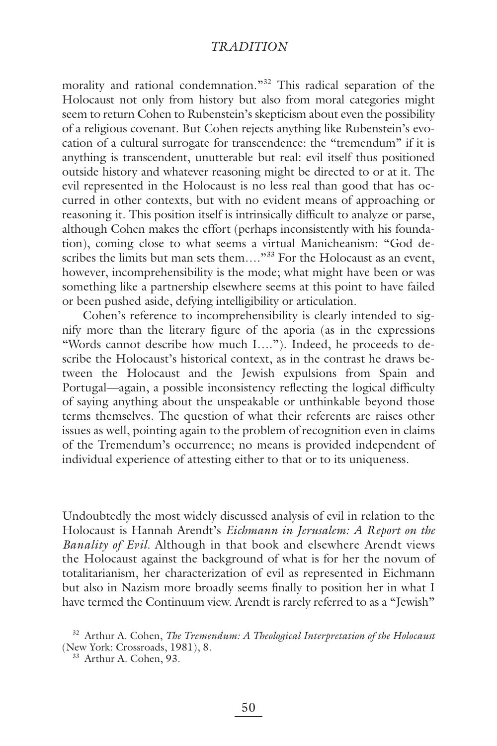morality and rational condemnation."<sup>32</sup> This radical separation of the Holocaust not only from history but also from moral categories might seem to return Cohen to Rubenstein's skepticism about even the possibility of a religious covenant. But Cohen rejects anything like Rubenstein's evocation of a cultural surrogate for transcendence: the "tremendum" if it is anything is transcendent, unutterable but real: evil itself thus positioned outside history and whatever reasoning might be directed to or at it. The evil represented in the Holocaust is no less real than good that has occurred in other contexts, but with no evident means of approaching or reasoning it. This position itself is intrinsically difficult to analyze or parse, although Cohen makes the effort (perhaps inconsistently with his foundation), coming close to what seems a virtual Manicheanism: "God describes the limits but man sets them...."<sup>33</sup> For the Holocaust as an event, however, incomprehensibility is the mode; what might have been or was something like a partnership elsewhere seems at this point to have failed or been pushed aside, defying intelligibility or articulation.

Cohen's reference to incomprehensibility is clearly intended to signify more than the literary figure of the aporia (as in the expressions "Words cannot describe how much I…."). Indeed, he proceeds to describe the Holocaust's historical context, as in the contrast he draws between the Holocaust and the Jewish expulsions from Spain and Portugal—again, a possible inconsistency reflecting the logical difficulty of saying anything about the unspeakable or unthinkable beyond those terms themselves. The question of what their referents are raises other issues as well, pointing again to the problem of recognition even in claims of the Tremendum's occurrence; no means is provided independent of individual experience of attesting either to that or to its uniqueness.

Undoubtedly the most widely discussed analysis of evil in relation to the Holocaust is Hannah Arendt's *Eichmann in Jerusalem: A Report on the Banality of Evil.* Although in that book and elsewhere Arendt views the Holocaust against the background of what is for her the novum of totalitarianism, her characterization of evil as represented in Eichmann but also in Nazism more broadly seems finally to position her in what I have termed the Continuum view. Arendt is rarely referred to as a "Jewish"

<sup>32</sup> Arthur A. Cohen, *The Tremendum: A Theological Interpretation of the Holocaust* (New York: Crossroads, 1981), 8.

<sup>&</sup>lt;sup>33</sup> Arthur A. Cohen, 93.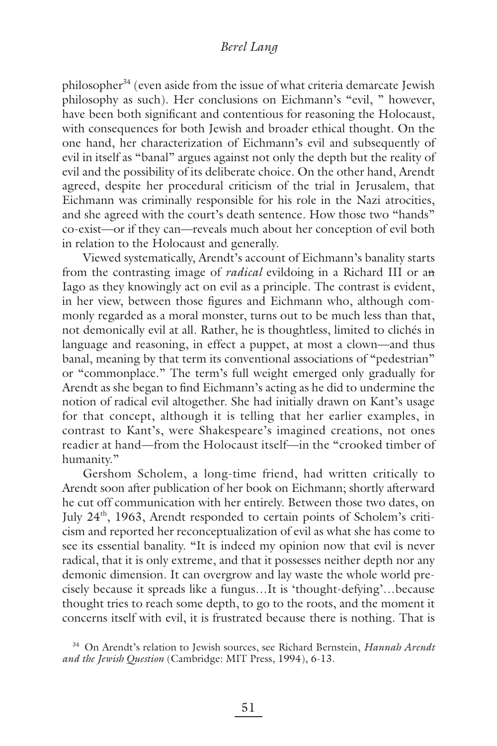philosopher $34$  (even aside from the issue of what criteria demarcate Jewish philosophy as such). Her conclusions on Eichmann's "evil, " however, have been both significant and contentious for reasoning the Holocaust, with consequences for both Jewish and broader ethical thought. On the one hand, her characterization of Eichmann's evil and subsequently of evil in itself as "banal" argues against not only the depth but the reality of evil and the possibility of its deliberate choice. On the other hand, Arendt agreed, despite her procedural criticism of the trial in Jerusalem, that Eichmann was criminally responsible for his role in the Nazi atrocities, and she agreed with the court's death sentence. How those two "hands" co-exist—or if they can—reveals much about her conception of evil both in relation to the Holocaust and generally.

Viewed systematically, Arendt's account of Eichmann's banality starts from the contrasting image of *radical* evildoing in a Richard III or an Iago as they knowingly act on evil as a principle. The contrast is evident, in her view, between those figures and Eichmann who, although commonly regarded as a moral monster, turns out to be much less than that, not demonically evil at all. Rather, he is thoughtless, limited to clichés in language and reasoning, in effect a puppet, at most a clown—and thus banal, meaning by that term its conventional associations of "pedestrian" or "commonplace." The term's full weight emerged only gradually for Arendt as she began to find Eichmann's acting as he did to undermine the notion of radical evil altogether. She had initially drawn on Kant's usage for that concept, although it is telling that her earlier examples, in contrast to Kant's, were Shakespeare's imagined creations, not ones readier at hand—from the Holocaust itself—in the "crooked timber of humanity."

Gershom Scholem, a long-time friend, had written critically to Arendt soon after publication of her book on Eichmann; shortly afterward he cut off communication with her entirely. Between those two dates, on July  $24<sup>th</sup>$ , 1963, Arendt responded to certain points of Scholem's criticism and reported her reconceptualization of evil as what she has come to see its essential banality. "It is indeed my opinion now that evil is never radical, that it is only extreme, and that it possesses neither depth nor any demonic dimension. It can overgrow and lay waste the whole world precisely because it spreads like a fungus…It is 'thought-defying'…because thought tries to reach some depth, to go to the roots, and the moment it concerns itself with evil, it is frustrated because there is nothing. That is

34 On Arendt's relation to Jewish sources, see Richard Bernstein, *Hannah Arendt and the Jewish Question* (Cambridge: MIT Press, 1994), 6-13.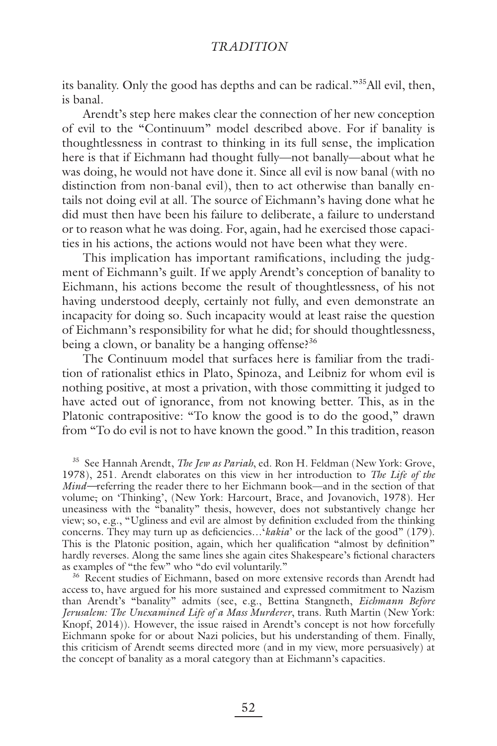its banality. Only the good has depths and can be radical."<sup>35</sup>All evil, then, is banal.

Arendt's step here makes clear the connection of her new conception of evil to the "Continuum" model described above. For if banality is thoughtlessness in contrast to thinking in its full sense, the implication here is that if Eichmann had thought fully—not banally—about what he was doing, he would not have done it. Since all evil is now banal (with no distinction from non-banal evil), then to act otherwise than banally entails not doing evil at all. The source of Eichmann's having done what he did must then have been his failure to deliberate, a failure to understand or to reason what he was doing. For, again, had he exercised those capacities in his actions, the actions would not have been what they were.

This implication has important ramifications, including the judgment of Eichmann's guilt. If we apply Arendt's conception of banality to Eichmann, his actions become the result of thoughtlessness, of his not having understood deeply, certainly not fully, and even demonstrate an incapacity for doing so. Such incapacity would at least raise the question of Eichmann's responsibility for what he did; for should thoughtlessness, being a clown, or banality be a hanging offense? $36$ 

The Continuum model that surfaces here is familiar from the tradition of rationalist ethics in Plato, Spinoza, and Leibniz for whom evil is nothing positive, at most a privation, with those committing it judged to have acted out of ignorance, from not knowing better. This, as in the Platonic contrapositive: "To know the good is to do the good," drawn from "To do evil is not to have known the good." In this tradition, reason

35 See Hannah Arendt, *The Jew as Pariah*, ed. Ron H. Feldman (New York: Grove, 1978), 251. Arendt elaborates on this view in her introduction to *The Life of the Mind—*referring the reader there to her Eichmann book—and in the section of that volume, on 'Thinking', (New York: Harcourt, Brace, and Jovanovich, 1978). Her uneasiness with the "banality" thesis, however, does not substantively change her view; so, e.g., "Ugliness and evil are almost by definition excluded from the thinking concerns. They may turn up as deficiencies... *'kakia'* or the lack of the good" (179). This is the Platonic position, again, which her qualification "almost by definition" hardly reverses. Along the same lines she again cites Shakespeare's fictional characters as examples of "the few" who "do evil voluntarily."

36 Recent studies of Eichmann, based on more extensive records than Arendt had access to, have argued for his more sustained and expressed commitment to Nazism than Arendt's "banality" admits (see, e.g., Bettina Stangneth, *Eichmann Before Jerusalem: The Unexamined Life of a Mass Murderer*, trans. Ruth Martin (New York: Knopf, 2014)). However, the issue raised in Arendt's concept is not how forcefully Eichmann spoke for or about Nazi policies, but his understanding of them. Finally, this criticism of Arendt seems directed more (and in my view, more persuasively) at the concept of banality as a moral category than at Eichmann's capacities.